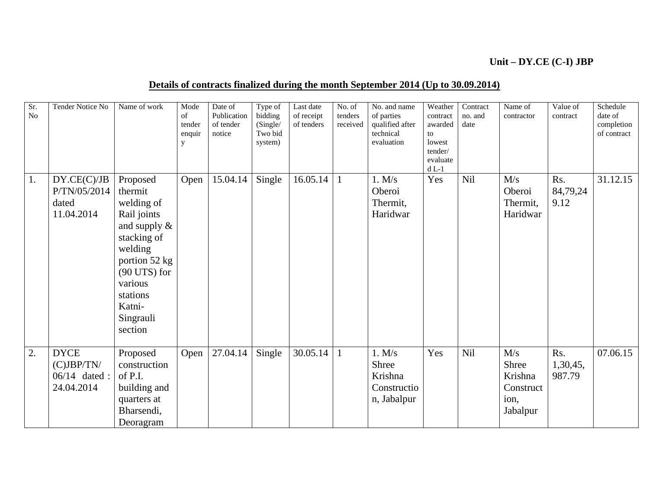## **Unit – DY.CE (C-I) JBP**

## **Details of contracts finalized during the month September 2014 (Up to 30.09.2014)**

| Sr.<br>No | <b>Tender Notice No</b>                                       | Name of work                                                                                                                                                                              | Mode<br>of<br>tender<br>enquir<br>y | Date of<br>Publication<br>of tender<br>notice | Type of<br>bidding<br>(Single/<br>Two bid<br>system) | Last date<br>of receipt<br>of tenders | No. of<br>tenders<br>received | No. and name<br>of parties<br>qualified after<br>technical<br>evaluation | Weather<br>contract<br>awarded<br>to<br>lowest<br>tender/<br>evaluate<br>$dL-1$ | Contract<br>no. and<br>date | Name of<br>contractor                                    | Value of<br>contract      | Schedule<br>date of<br>completion<br>of contract |
|-----------|---------------------------------------------------------------|-------------------------------------------------------------------------------------------------------------------------------------------------------------------------------------------|-------------------------------------|-----------------------------------------------|------------------------------------------------------|---------------------------------------|-------------------------------|--------------------------------------------------------------------------|---------------------------------------------------------------------------------|-----------------------------|----------------------------------------------------------|---------------------------|--------------------------------------------------|
| 1.        | DY.CE(C)/JB<br>P/TN/05/2014<br>dated<br>11.04.2014            | Proposed<br>thermit<br>welding of<br>Rail joints<br>and supply $\&$<br>stacking of<br>welding<br>portion 52 kg<br>$(90$ UTS) for<br>various<br>stations<br>Katni-<br>Singrauli<br>section | Open                                | 15.04.14                                      | Single                                               | 16.05.14                              | 1                             | 1. M/s<br>Oberoi<br>Thermit,<br>Haridwar                                 | Yes                                                                             | Nil                         | M/s<br>Oberoi<br>Thermit,<br>Haridwar                    | Rs.<br>84,79,24<br>9.12   | 31.12.15                                         |
| 2.        | <b>DYCE</b><br>$(C)$ JBP/TN/<br>$06/14$ dated :<br>24.04.2014 | Proposed<br>construction<br>of P.I.<br>building and<br>quarters at<br>Bharsendi,<br>Deoragram                                                                                             | Open                                | 27.04.14                                      | Single                                               | 30.05.14                              | $\mathbf{1}$                  | 1. M/s<br>Shree<br>Krishna<br>Constructio<br>n, Jabalpur                 | Yes                                                                             | <b>Nil</b>                  | M/s<br>Shree<br>Krishna<br>Construct<br>ion,<br>Jabalpur | Rs.<br>1,30,45,<br>987.79 | 07.06.15                                         |